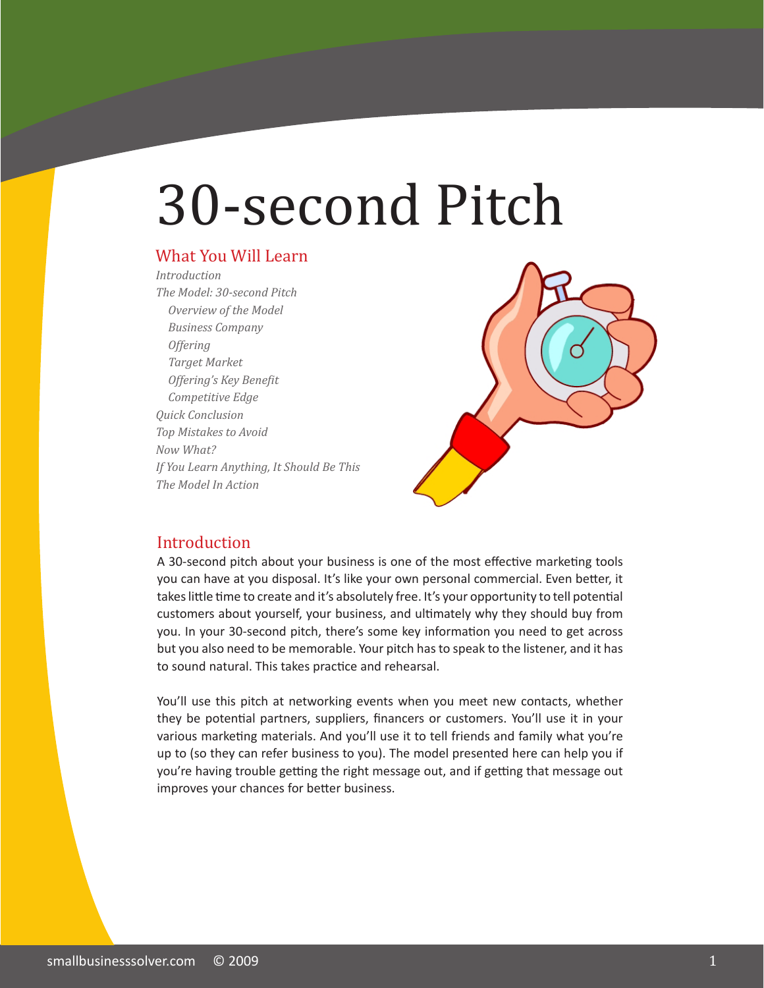# 30-second Pitch

#### What You Will Learn

*Introduction The Model: 30-second Pitch Overview of the Model Business Company Offering Target Market Offering's Key Benefit Competitive Edge Quick Conclusion Top Mistakes to Avoid Now What? If You Learn Anything, It Should Be This The Model In Action*



#### Introduction

A 30-second pitch about your business is one of the most effective marketing tools you can have at you disposal. It's like your own personal commercial. Even better, it takes little time to create and it's absolutely free. It's your opportunity to tell potential customers about yourself, your business, and ultimately why they should buy from you. In your 30-second pitch, there's some key information you need to get across but you also need to be memorable. Your pitch has to speak to the listener, and it has to sound natural. This takes practice and rehearsal.

You'll use this pitch at networking events when you meet new contacts, whether they be potential partners, suppliers, financers or customers. You'll use it in your various marketing materials. And you'll use it to tell friends and family what you're up to (so they can refer business to you). The model presented here can help you if you're having trouble getting the right message out, and if getting that message out improves your chances for better business.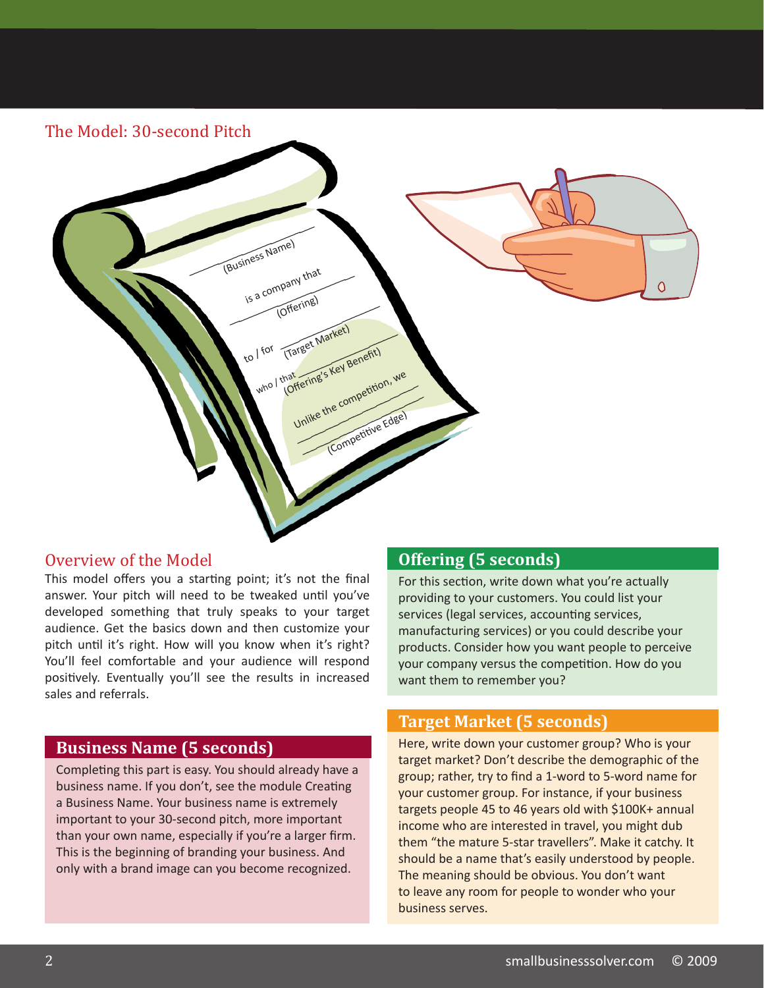| (Business Name)<br>is a company that<br>$\overline{O}$<br>(Offering)<br>(Target Market)<br>to I for<br>who I that ering's Key Benefit)<br>Unlike the competition, we<br>(Competitive Edge) |  |
|--------------------------------------------------------------------------------------------------------------------------------------------------------------------------------------------|--|
|                                                                                                                                                                                            |  |

#### Overview of the Model

This model offers you a starting point; it's not the final answer. Your pitch will need to be tweaked until you've developed something that truly speaks to your target audience. Get the basics down and then customize your pitch until it's right. How will you know when it's right? You'll feel comfortable and your audience will respond positively. Eventually you'll see the results in increased sales and referrals.

#### **Business Name (5 seconds)**

Completing this part is easy. You should already have a business name. If you don't, see the module Creating a Business Name. Your business name is extremely important to your 30-second pitch, more important than your own name, especially if you're a larger firm. This is the beginning of branding your business. And only with a brand image can you become recognized.

#### **Offering (5 seconds)**

For this section, write down what you're actually providing to your customers. You could list your services (legal services, accounting services, manufacturing services) or you could describe your products. Consider how you want people to perceive your company versus the competition. How do you want them to remember you?

#### **Target Market (5 seconds)**

Here, write down your customer group? Who is your target market? Don't describe the demographic of the group; rather, try to find a 1-word to 5-word name for your customer group. For instance, if your business targets people 45 to 46 years old with \$100K+ annual income who are interested in travel, you might dub them "the mature 5-star travellers". Make it catchy. It should be a name that's easily understood by people. The meaning should be obvious. You don't want to leave any room for people to wonder who your business serves.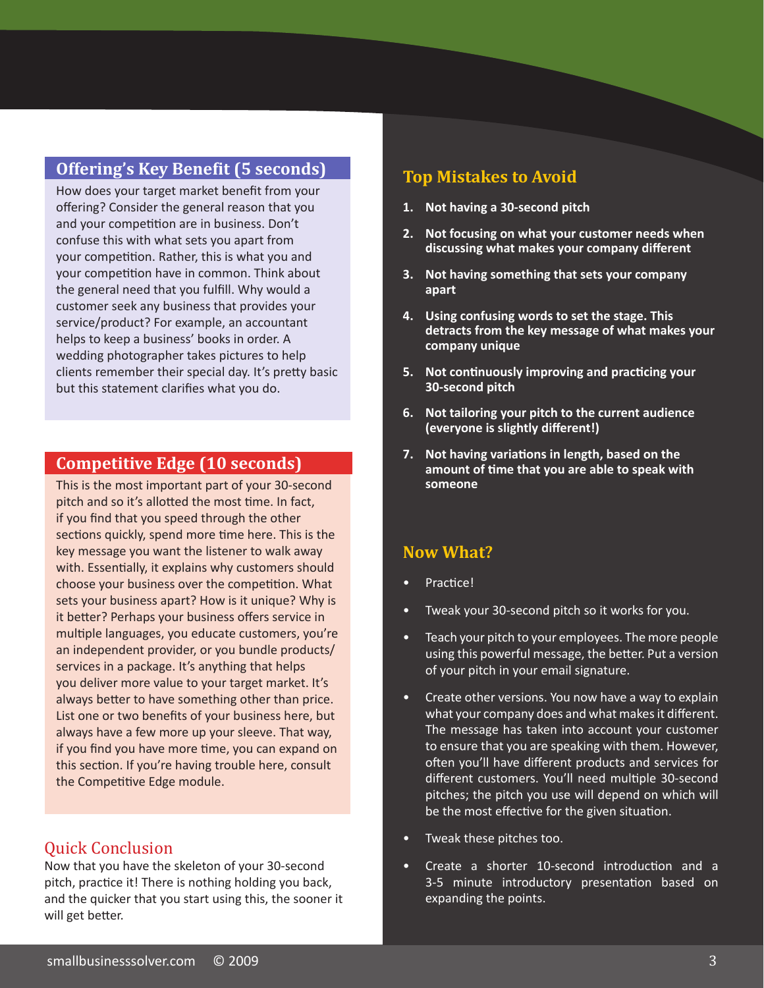#### **Offering's Key Benefit (5 seconds)**

How does your target market benefit from your offering? Consider the general reason that you and your competition are in business. Don't confuse this with what sets you apart from your competition. Rather, this is what you and your competition have in common. Think about the general need that you fulfill. Why would a customer seek any business that provides your service/product? For example, an accountant helps to keep a business' books in order. A wedding photographer takes pictures to help clients remember their special day. It's pretty basic but this statement clarifies what you do.

#### **Competitive Edge (10 seconds)**

This is the most important part of your 30-second pitch and so it's allotted the most time. In fact, if you find that you speed through the other sections quickly, spend more time here. This is the key message you want the listener to walk away with. Essentially, it explains why customers should choose your business over the competition. What sets your business apart? How is it unique? Why is it better? Perhaps your business offers service in multiple languages, you educate customers, you're an independent provider, or you bundle products/ services in a package. It's anything that helps you deliver more value to your target market. It's always better to have something other than price. List one or two benefits of your business here, but always have a few more up your sleeve. That way, if you find you have more time, you can expand on this section. If you're having trouble here, consult the Competitive Edge module.

#### Quick Conclusion

Now that you have the skeleton of your 30-second pitch, practice it! There is nothing holding you back, and the quicker that you start using this, the sooner it will get better.

#### **Top Mistakes to Avoid**

- **1. Not having a 30-second pitch**
- **2. Not focusing on what your customer needs when discussing what makes your company different**
- **3. Not having something that sets your company apart**
- **4. Using confusing words to set the stage. This detracts from the key message of what makes your company unique**
- **5. Not continuously improving and practicing your 30-second pitch**
- **6. Not tailoring your pitch to the current audience (everyone is slightly different!)**
- **7. Not having variations in length, based on the amount of time that you are able to speak with someone**

#### **Now What?**

- Practice!
- Tweak your 30-second pitch so it works for you.
- Teach your pitch to your employees. The more people using this powerful message, the better. Put a version of your pitch in your email signature.
- Create other versions. You now have a way to explain what your company does and what makes it different. The message has taken into account your customer to ensure that you are speaking with them. However, often you'll have different products and services for different customers. You'll need multiple 30-second pitches; the pitch you use will depend on which will be the most effective for the given situation.
- Tweak these pitches too.
- Create a shorter 10-second introduction and a 3-5 minute introductory presentation based on expanding the points.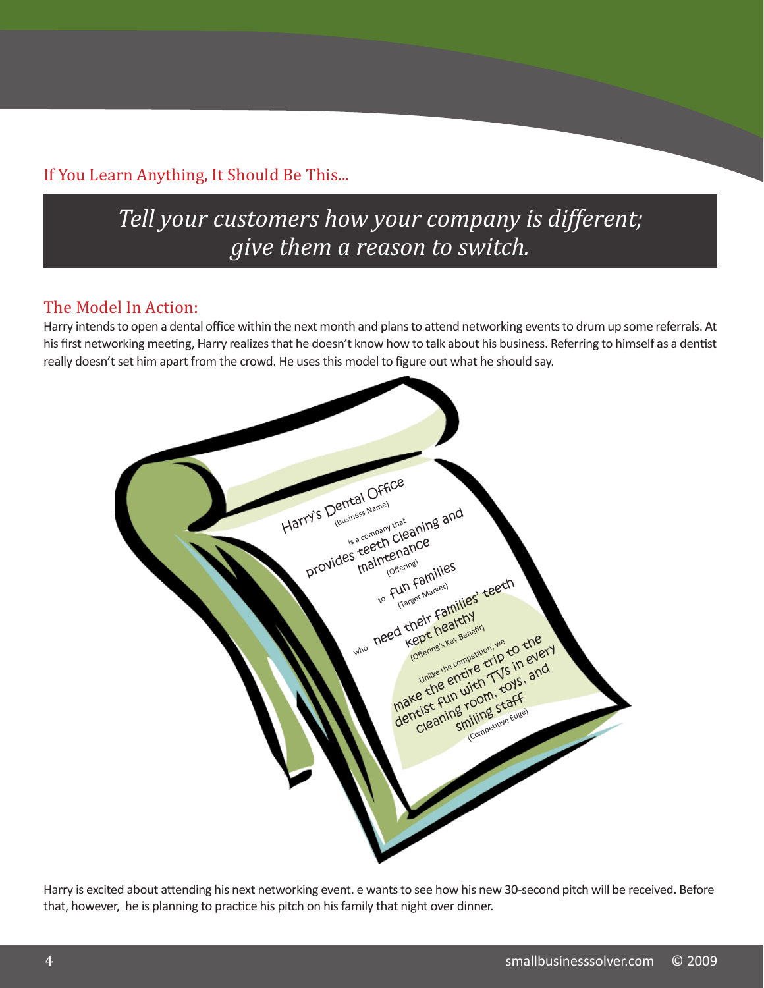#### If You Learn Anything, It Should Be This...

### *Tell your customers how your company is different; give them a reason to switch.*

#### The Model In Action:

Harry intends to open a dental office within the next month and plans to attend networking events to drum up some referrals. At his first networking meeting, Harry realizes that he doesn't know how to talk about his business. Referring to himself as a dentist really doesn't set him apart from the crowd. He uses this model to figure out what he should say.

|  | Harry's Dental Office |                                                |                                                                                                                |  |
|--|-----------------------|------------------------------------------------|----------------------------------------------------------------------------------------------------------------|--|
|  |                       | provides teeth cleaning and<br>to Fun Families |                                                                                                                |  |
|  |                       | who need their families teeth                  | (Offering's Key Benefit)                                                                                       |  |
|  |                       |                                                | make the entire trip to the<br>dentist Fun with TVS in every<br>Cleaning room, toys, and<br>(Competitive Edge) |  |
|  |                       |                                                |                                                                                                                |  |
|  |                       |                                                |                                                                                                                |  |

Harry is excited about attending his next networking event. e wants to see how his new 30-second pitch will be received. Before that, however, he is planning to practice his pitch on his family that night over dinner.